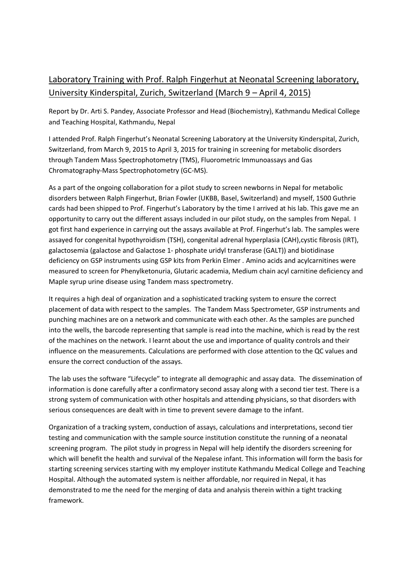## Laboratory Training with Prof. Ralph Fingerhut at Neonatal Screening laboratory, University Kinderspital, Zurich, Switzerland (March 9 – April 4, 2015)

Report by Dr. Arti S. Pandey, Associate Professor and Head (Biochemistry), Kathmandu Medical College and Teaching Hospital, Kathmandu, Nepal

I attended Prof. Ralph Fingerhut's Neonatal Screening Laboratory at the University Kinderspital, Zurich, Switzerland, from March 9, 2015 to April 3, 2015 for training in screening for metabolic disorders through Tandem Mass Spectrophotometry (TMS), Fluorometric Immunoassays and Gas Chromatography-Mass Spectrophotometry (GC-MS).

As a part of the ongoing collaboration for a pilot study to screen newborns in Nepal for metabolic disorders between Ralph Fingerhut, Brian Fowler (UKBB, Basel, Switzerland) and myself, 1500 Guthrie cards had been shipped to Prof. Fingerhut's Laboratory by the time I arrived at his lab. This gave me an opportunity to carry out the different assays included in our pilot study, on the samples from Nepal. I got first hand experience in carrying out the assays available at Prof. Fingerhut's lab. The samples were assayed for congenital hypothyroidism (TSH), congenital adrenal hyperplasia (CAH),cystic fibrosis (IRT), galactosemia (galactose and Galactose 1- phosphate uridyl transferase (GALT)) and biotidinase deficiency on GSP instruments using GSP kits from Perkin Elmer . Amino acids and acylcarnitines were measured to screen for Phenylketonuria, Glutaric academia, Medium chain acyl carnitine deficiency and Maple syrup urine disease using Tandem mass spectrometry.

It requires a high deal of organization and a sophisticated tracking system to ensure the correct placement of data with respect to the samples. The Tandem Mass Spectrometer, GSP instruments and punching machines are on a network and communicate with each other. As the samples are punched into the wells, the barcode representing that sample is read into the machine, which is read by the rest of the machines on the network. I learnt about the use and importance of quality controls and their influence on the measurements. Calculations are performed with close attention to the QC values and ensure the correct conduction of the assays.

The lab uses the software "Lifecycle" to integrate all demographic and assay data. The dissemination of information is done carefully after a confirmatory second assay along with a second tier test. There is a strong system of communication with other hospitals and attending physicians, so that disorders with serious consequences are dealt with in time to prevent severe damage to the infant.

Organization of a tracking system, conduction of assays, calculations and interpretations, second tier testing and communication with the sample source institution constitute the running of a neonatal screening program. The pilot study in progress in Nepal will help identify the disorders screening for which will benefit the health and survival of the Nepalese infant. This information will form the basis for starting screening services starting with my employer institute Kathmandu Medical College and Teaching Hospital. Although the automated system is neither affordable, nor required in Nepal, it has demonstrated to me the need for the merging of data and analysis therein within a tight tracking framework.